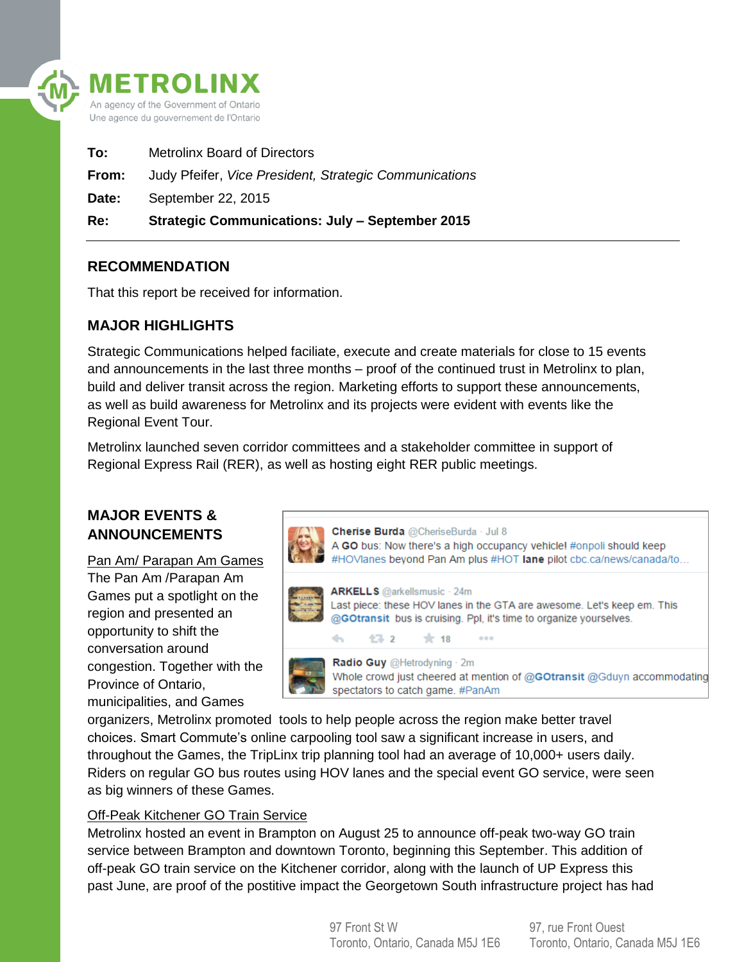

| Re:   | <b>Strategic Communications: July - September 2015</b> |
|-------|--------------------------------------------------------|
| Date: | September 22, 2015                                     |
| From: | Judy Pfeifer, Vice President, Strategic Communications |
| To:   | <b>Metrolinx Board of Directors</b>                    |

### **RECOMMENDATION**

That this report be received for information.

## **MAJOR HIGHLIGHTS**

Strategic Communications helped faciliate, execute and create materials for close to 15 events and announcements in the last three months – proof of the continued trust in Metrolinx to plan, build and deliver transit across the region. Marketing efforts to support these announcements, as well as build awareness for Metrolinx and its projects were evident with events like the Regional Event Tour.

Metrolinx launched seven corridor committees and a stakeholder committee in support of Regional Express Rail (RER), as well as hosting eight RER public meetings.

# **MAJOR EVENTS & ANNOUNCEMENTS**

Pan Am/ Parapan Am Games The Pan Am /Parapan Am Games put a spotlight on the region and presented an opportunity to shift the conversation around congestion. Together with the Province of Ontario, municipalities, and Games



organizers, Metrolinx promoted tools to help people across the region make better travel choices. Smart Commute's online carpooling tool saw a significant increase in users, and throughout the Games, the TripLinx trip planning tool had an average of 10,000+ users daily. Riders on regular GO bus routes using HOV lanes and the special event GO service, were seen as big winners of these Games.

#### Off-Peak Kitchener GO Train Service

Metrolinx hosted an event in Brampton on August 25 to announce off-peak two-way GO train service between Brampton and downtown Toronto, beginning this September. This addition of off-peak GO train service on the Kitchener corridor, along with the launch of UP Express this past June, are proof of the postitive impact the Georgetown South infrastructure project has had

> 97 Front St W Toronto, Ontario, Canada M5J 1E6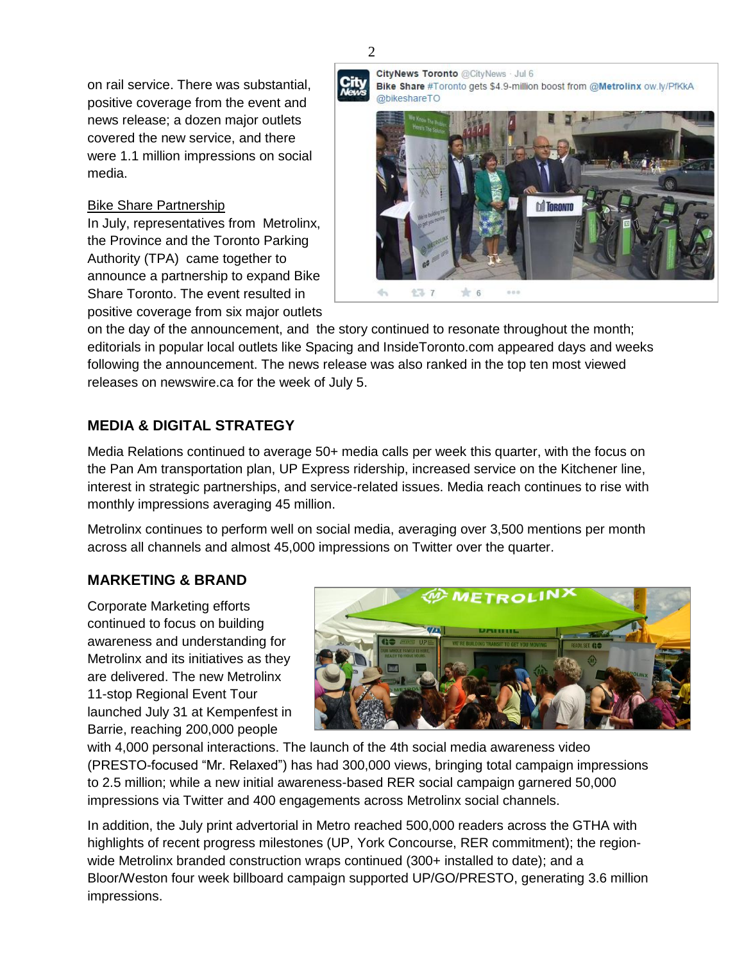on rail service. There was substantial, positive coverage from the event and news release; a dozen major outlets covered the new service, and there were 1.1 million impressions on social media.

#### Bike Share Partnership

In July, representatives from Metrolinx, the Province and the Toronto Parking Authority (TPA) came together to announce a partnership to expand Bike Share Toronto. The event resulted in positive coverage from six major outlets **City**<br>News

CityNews Toronto @CityNews . Jul 6 Bike Share #Toronto gets \$4.9-million boost from @Metrolinx ow.ly/PfKkA @bikeshareTO



on the day of the announcement, and the story continued to resonate throughout the month; editorials in popular local outlets like Spacing and InsideToronto.com appeared days and weeks following the announcement. The news release was also ranked in the top ten most viewed releases on newswire.ca for the week of July 5.

# **MEDIA & DIGITAL STRATEGY**

Media Relations continued to average 50+ media calls per week this quarter, with the focus on the Pan Am transportation plan, UP Express ridership, increased service on the Kitchener line, interest in strategic partnerships, and service-related issues. Media reach continues to rise with monthly impressions averaging 45 million.

Metrolinx continues to perform well on social media, averaging over 3,500 mentions per month across all channels and almost 45,000 impressions on Twitter over the quarter.

## **MARKETING & BRAND**

Corporate Marketing efforts continued to focus on building awareness and understanding for Metrolinx and its initiatives as they are delivered. The new Metrolinx 11-stop Regional Event Tour launched July 31 at Kempenfest in Barrie, reaching 200,000 people



with 4,000 personal interactions. The launch of the 4th social media awareness video (PRESTO-focused "Mr. Relaxed") has had 300,000 views, bringing total campaign impressions to 2.5 million; while a new initial awareness-based RER social campaign garnered 50,000 impressions via Twitter and 400 engagements across Metrolinx social channels.

In addition, the July print advertorial in Metro reached 500,000 readers across the GTHA with highlights of recent progress milestones (UP, York Concourse, RER commitment); the regionwide Metrolinx branded construction wraps continued (300+ installed to date); and a Bloor/Weston four week billboard campaign supported UP/GO/PRESTO, generating 3.6 million impressions.

2